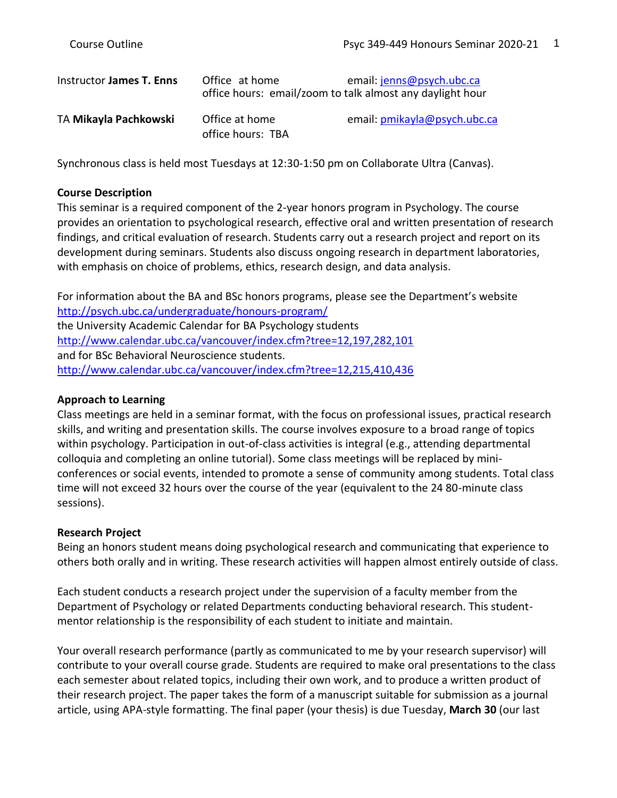| Instructor James T. Enns | Office at home<br>office hours: email/zoom to talk almost any daylight hour | email: jenns@psych.ubc.ca    |
|--------------------------|-----------------------------------------------------------------------------|------------------------------|
| TA Mikayla Pachkowski    | Office at home<br>office hours: TBA                                         | email: pmikayla@psych.ubc.ca |

Synchronous class is held most Tuesdays at 12:30-1:50 pm on Collaborate Ultra (Canvas).

#### **Course Description**

This seminar is a required component of the 2-year honors program in Psychology. The course provides an orientation to psychological research, effective oral and written presentation of research findings, and critical evaluation of research. Students carry out a research project and report on its development during seminars. Students also discuss ongoing research in department laboratories, with emphasis on choice of problems, ethics, research design, and data analysis.

For information about the BA and BSc honors programs, please see the Department's website <http://psych.ubc.ca/undergraduate/honours-program/> the University Academic Calendar for BA Psychology students <http://www.calendar.ubc.ca/vancouver/index.cfm?tree=12,197,282,101> and for BSc Behavioral Neuroscience students. <http://www.calendar.ubc.ca/vancouver/index.cfm?tree=12,215,410,436>

#### **Approach to Learning**

Class meetings are held in a seminar format, with the focus on professional issues, practical research skills, and writing and presentation skills. The course involves exposure to a broad range of topics within psychology. Participation in out-of-class activities is integral (e.g., attending departmental colloquia and completing an online tutorial). Some class meetings will be replaced by miniconferences or social events, intended to promote a sense of community among students. Total class time will not exceed 32 hours over the course of the year (equivalent to the 24 80-minute class sessions).

#### **Research Project**

Being an honors student means doing psychological research and communicating that experience to others both orally and in writing. These research activities will happen almost entirely outside of class.

Each student conducts a research project under the supervision of a faculty member from the Department of Psychology or related Departments conducting behavioral research. This studentmentor relationship is the responsibility of each student to initiate and maintain.

Your overall research performance (partly as communicated to me by your research supervisor) will contribute to your overall course grade. Students are required to make oral presentations to the class each semester about related topics, including their own work, and to produce a written product of their research project. The paper takes the form of a manuscript suitable for submission as a journal article, using APA-style formatting. The final paper (your thesis) is due Tuesday, **March 30** (our last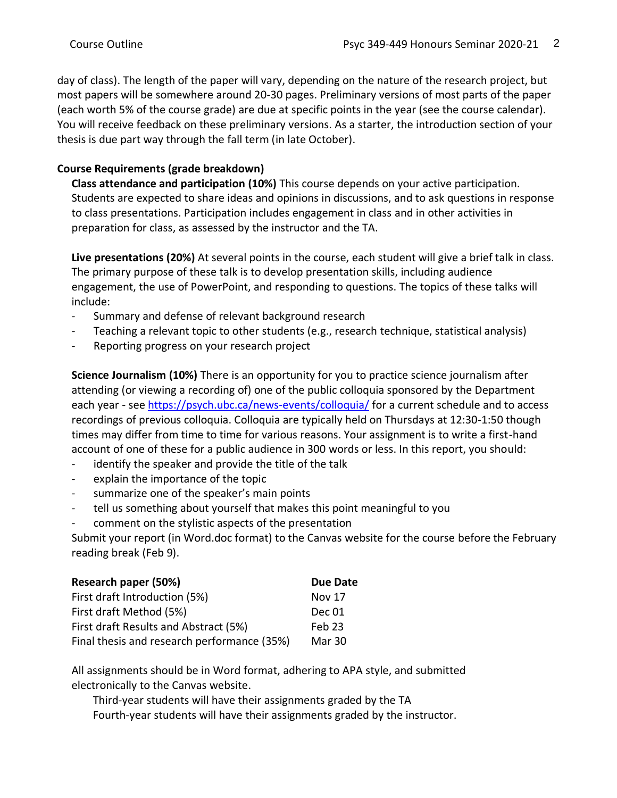day of class). The length of the paper will vary, depending on the nature of the research project, but most papers will be somewhere around 20-30 pages. Preliminary versions of most parts of the paper (each worth 5% of the course grade) are due at specific points in the year (see the course calendar). You will receive feedback on these preliminary versions. As a starter, the introduction section of your thesis is due part way through the fall term (in late October).

# **Course Requirements (grade breakdown)**

**Class attendance and participation (10%)** This course depends on your active participation. Students are expected to share ideas and opinions in discussions, and to ask questions in response to class presentations. Participation includes engagement in class and in other activities in preparation for class, as assessed by the instructor and the TA.

**Live presentations (20%)** At several points in the course, each student will give a brief talk in class. The primary purpose of these talk is to develop presentation skills, including audience engagement, the use of PowerPoint, and responding to questions. The topics of these talks will include:

- Summary and defense of relevant background research
- Teaching a relevant topic to other students (e.g., research technique, statistical analysis)
- Reporting progress on your research project

**Science Journalism (10%)** There is an opportunity for you to practice science journalism after attending (or viewing a recording of) one of the public colloquia sponsored by the Department each year - se[e https://psych.ubc.ca/news-events/colloquia/](https://psych.ubc.ca/news-events/colloquia/) for a current schedule and to access recordings of previous colloquia. Colloquia are typically held on Thursdays at 12:30-1:50 though times may differ from time to time for various reasons. Your assignment is to write a first-hand account of one of these for a public audience in 300 words or less. In this report, you should:

- identify the speaker and provide the title of the talk
- explain the importance of the topic
- summarize one of the speaker's main points
- tell us something about yourself that makes this point meaningful to you
- comment on the stylistic aspects of the presentation

Submit your report (in Word.doc format) to the Canvas website for the course before the February reading break (Feb 9).

| Research paper (50%)                        | Due Date      |
|---------------------------------------------|---------------|
| First draft Introduction (5%)               | <b>Nov 17</b> |
| First draft Method (5%)                     | Dec 01        |
| First draft Results and Abstract (5%)       | $Feb$ 23      |
| Final thesis and research performance (35%) | Mar 30        |

All assignments should be in Word format, adhering to APA style, and submitted electronically to the Canvas website.

Third-year students will have their assignments graded by the TA Fourth-year students will have their assignments graded by the instructor.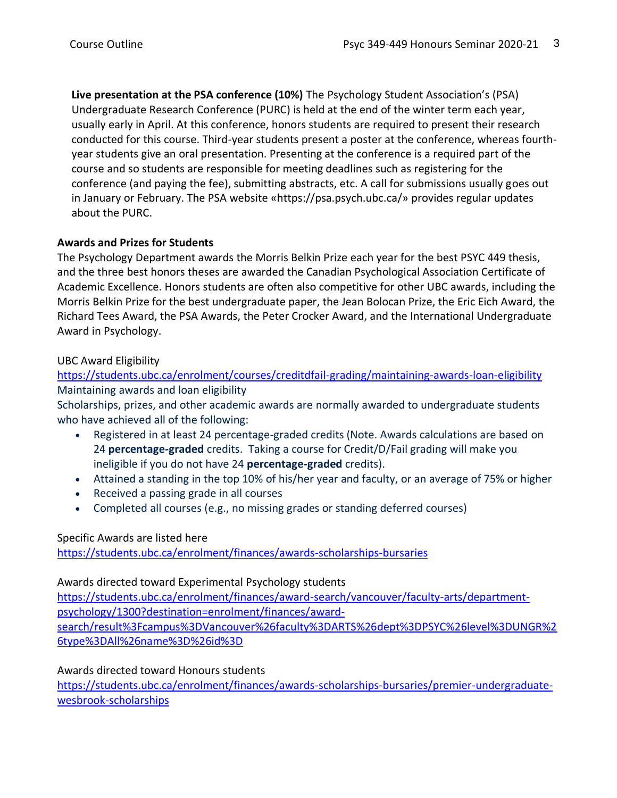**Live presentation at the PSA conference (10%)** The Psychology Student Association's (PSA) Undergraduate Research Conference (PURC) is held at the end of the winter term each year, usually early in April. At this conference, honors students are required to present their research conducted for this course. Third-year students present a poster at the conference, whereas fourthyear students give an oral presentation. Presenting at the conference is a required part of the course and so students are responsible for meeting deadlines such as registering for the conference (and paying the fee), submitting abstracts, etc. A call for submissions usually goes out in January or February. The PSA website «https://psa.psych.ubc.ca/» provides regular updates about the PURC.

### **Awards and Prizes for Students**

The Psychology Department awards the Morris Belkin Prize each year for the best PSYC 449 thesis, and the three best honors theses are awarded the Canadian Psychological Association Certificate of Academic Excellence. Honors students are often also competitive for other UBC awards, including the Morris Belkin Prize for the best undergraduate paper, the Jean Bolocan Prize, the Eric Eich Award, the Richard Tees Award, the PSA Awards, the Peter Crocker Award, and the International Undergraduate Award in Psychology.

# UBC Award Eligibility

<https://students.ubc.ca/enrolment/courses/creditdfail-grading/maintaining-awards-loan-eligibility> Maintaining awards and loan eligibility

Scholarships, prizes, and other academic awards are normally awarded to undergraduate students who have achieved all of the following:

- Registered in at least 24 percentage-graded credits (Note. Awards calculations are based on 24 **percentage-graded** credits. Taking a course for Credit/D/Fail grading will make you ineligible if you do not have 24 **percentage-graded** credits).
- Attained a standing in the top 10% of his/her year and faculty, or an average of 75% or higher
- Received a passing grade in all courses
- Completed all courses (e.g., no missing grades or standing deferred courses)

# Specific Awards are listed here

<https://students.ubc.ca/enrolment/finances/awards-scholarships-bursaries>

### Awards directed toward Experimental Psychology students

[https://students.ubc.ca/enrolment/finances/award-search/vancouver/faculty-arts/department](https://students.ubc.ca/enrolment/finances/award-search/vancouver/faculty-arts/department-psychology/1300?destination=enrolment/finances/award-search/result%3Fcampus%3DVancouver%26faculty%3DARTS%26dept%3DPSYC%26level%3DUNGR%26type%3DAll%26name%3D%26id%3D)[psychology/1300?destination=enrolment/finances/award](https://students.ubc.ca/enrolment/finances/award-search/vancouver/faculty-arts/department-psychology/1300?destination=enrolment/finances/award-search/result%3Fcampus%3DVancouver%26faculty%3DARTS%26dept%3DPSYC%26level%3DUNGR%26type%3DAll%26name%3D%26id%3D)[search/result%3Fcampus%3DVancouver%26faculty%3DARTS%26dept%3DPSYC%26level%3DUNGR%2](https://students.ubc.ca/enrolment/finances/award-search/vancouver/faculty-arts/department-psychology/1300?destination=enrolment/finances/award-search/result%3Fcampus%3DVancouver%26faculty%3DARTS%26dept%3DPSYC%26level%3DUNGR%26type%3DAll%26name%3D%26id%3D) [6type%3DAll%26name%3D%26id%3D](https://students.ubc.ca/enrolment/finances/award-search/vancouver/faculty-arts/department-psychology/1300?destination=enrolment/finances/award-search/result%3Fcampus%3DVancouver%26faculty%3DARTS%26dept%3DPSYC%26level%3DUNGR%26type%3DAll%26name%3D%26id%3D)

# Awards directed toward Honours students

[https://students.ubc.ca/enrolment/finances/awards-scholarships-bursaries/premier-undergraduate](https://students.ubc.ca/enrolment/finances/awards-scholarships-bursaries/premier-undergraduate-wesbrook-scholarships)[wesbrook-scholarships](https://students.ubc.ca/enrolment/finances/awards-scholarships-bursaries/premier-undergraduate-wesbrook-scholarships)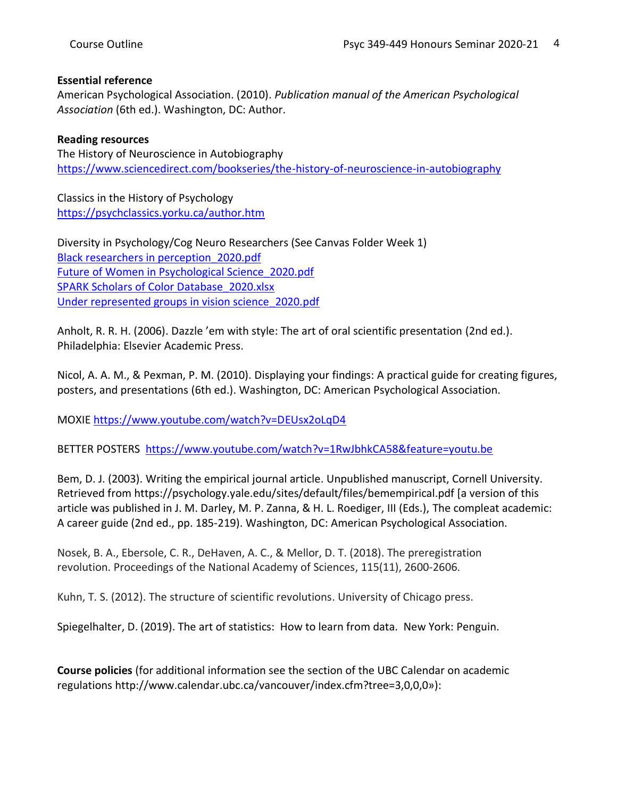### **Essential reference**

American Psychological Association. (2010). *Publication manual of the American Psychological Association* (6th ed.). Washington, DC: Author.

### **Reading resources**

The History of Neuroscience in Autobiography <https://www.sciencedirect.com/bookseries/the-history-of-neuroscience-in-autobiography>

Classics in the History of Psychology <https://psychclassics.yorku.ca/author.htm>

Diversity in Psychology/Cog Neuro Researchers (See Canvas Folder Week 1) [Black researchers in perception\\_2020.pdf](https://canvas.ubc.ca/courses/57465/modules/items/2379380) [Future of Women in Psychological Science\\_2020.pdf](https://canvas.ubc.ca/courses/57465/modules/items/2379381) [SPARK Scholars of Color Database\\_2020.xlsx](https://canvas.ubc.ca/courses/57465/modules/items/2379382) [Under represented groups in vision science\\_2020.pdf](https://canvas.ubc.ca/courses/57465/modules/items/2379383)

Anholt, R. R. H. (2006). Dazzle 'em with style: The art of oral scientific presentation (2nd ed.). Philadelphia: Elsevier Academic Press.

Nicol, A. A. M., & Pexman, P. M. (2010). Displaying your findings: A practical guide for creating figures, posters, and presentations (6th ed.). Washington, DC: American Psychological Association.

MOXIE <https://www.youtube.com/watch?v=DEUsx2oLqD4>

BETTER POSTERS <https://www.youtube.com/watch?v=1RwJbhkCA58&feature=youtu.be>

Bem, D. J. (2003). Writing the empirical journal article. Unpublished manuscript, Cornell University. Retrieved from https://psychology.yale.edu/sites/default/files/bemempirical.pdf [a version of this article was published in J. M. Darley, M. P. Zanna, & H. L. Roediger, III (Eds.), The compleat academic: A career guide (2nd ed., pp. 185-219). Washington, DC: American Psychological Association.

Nosek, B. A., Ebersole, C. R., DeHaven, A. C., & Mellor, D. T. (2018). The preregistration revolution. Proceedings of the National Academy of Sciences, 115(11), 2600-2606.

Kuhn, T. S. (2012). The structure of scientific revolutions. University of Chicago press.

Spiegelhalter, D. (2019). The art of statistics: How to learn from data. New York: Penguin.

**Course policies** (for additional information see the section of the UBC Calendar on academic regulations http://www.calendar.ubc.ca/vancouver/index.cfm?tree=3,0,0,0»):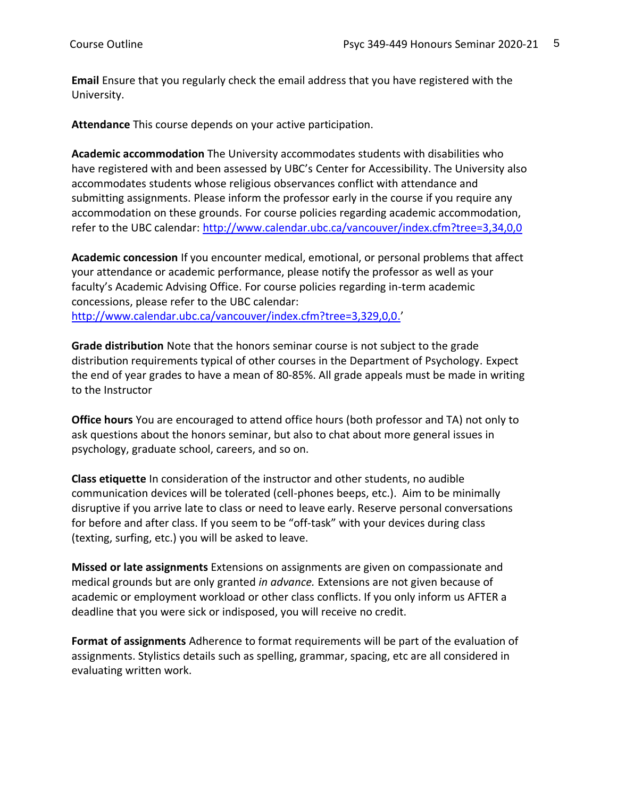**Email** Ensure that you regularly check the email address that you have registered with the University.

**Attendance** This course depends on your active participation.

**Academic accommodation** The University accommodates students with disabilities who have registered with and been assessed by UBC's Center for Accessibility. The University also accommodates students whose religious observances conflict with attendance and submitting assignments. Please inform the professor early in the course if you require any accommodation on these grounds. For course policies regarding academic accommodation, refer to the UBC calendar:<http://www.calendar.ubc.ca/vancouver/index.cfm?tree=3,34,0,0>

**Academic concession** If you encounter medical, emotional, or personal problems that affect your attendance or academic performance, please notify the professor as well as your faculty's Academic Advising Office. For course policies regarding in-term academic concessions, please refer to the UBC calendar: [http://www.calendar.ubc.ca/vancouver/index.cfm?tree=3,329,0,0.](http://www.calendar.ubc.ca/vancouver/index.cfm?tree=3,329,0,0)'

**Grade distribution** Note that the honors seminar course is not subject to the grade distribution requirements typical of other courses in the Department of Psychology. Expect the end of year grades to have a mean of 80-85%. All grade appeals must be made in writing to the Instructor

**Office hours** You are encouraged to attend office hours (both professor and TA) not only to ask questions about the honors seminar, but also to chat about more general issues in psychology, graduate school, careers, and so on.

**Class etiquette** In consideration of the instructor and other students, no audible communication devices will be tolerated (cell-phones beeps, etc.). Aim to be minimally disruptive if you arrive late to class or need to leave early. Reserve personal conversations for before and after class. If you seem to be "off-task" with your devices during class (texting, surfing, etc.) you will be asked to leave.

**Missed or late assignments** Extensions on assignments are given on compassionate and medical grounds but are only granted *in advance.* Extensions are not given because of academic or employment workload or other class conflicts. If you only inform us AFTER a deadline that you were sick or indisposed, you will receive no credit.

**Format of assignments** Adherence to format requirements will be part of the evaluation of assignments. Stylistics details such as spelling, grammar, spacing, etc are all considered in evaluating written work.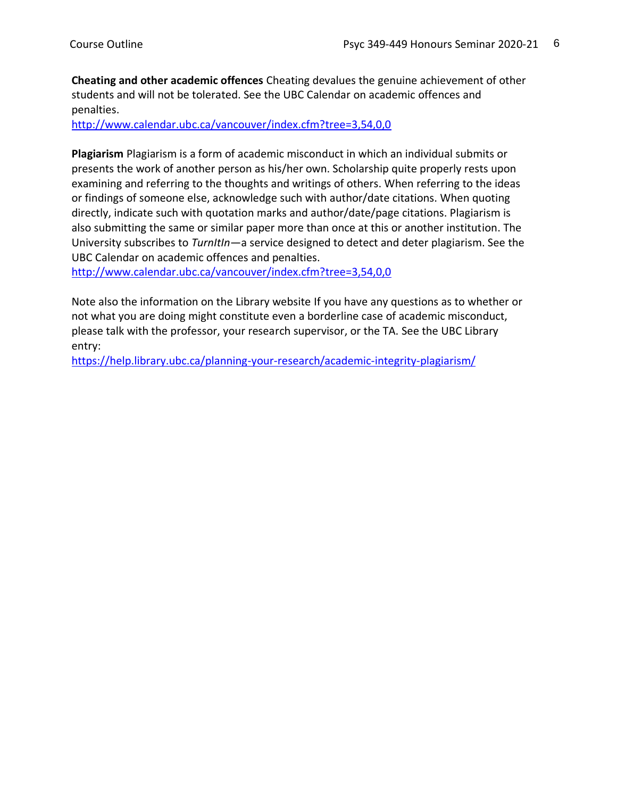**Cheating and other academic offences** Cheating devalues the genuine achievement of other students and will not be tolerated. See the UBC Calendar on academic offences and penalties.

<http://www.calendar.ubc.ca/vancouver/index.cfm?tree=3,54,0,0>

**Plagiarism** Plagiarism is a form of academic misconduct in which an individual submits or presents the work of another person as his/her own. Scholarship quite properly rests upon examining and referring to the thoughts and writings of others. When referring to the ideas or findings of someone else, acknowledge such with author/date citations. When quoting directly, indicate such with quotation marks and author/date/page citations. Plagiarism is also submitting the same or similar paper more than once at this or another institution. The University subscribes to *TurnItIn*—a service designed to detect and deter plagiarism. See the UBC Calendar on academic offences and penalties.

<http://www.calendar.ubc.ca/vancouver/index.cfm?tree=3,54,0,0>

Note also the information on the Library website If you have any questions as to whether or not what you are doing might constitute even a borderline case of academic misconduct, please talk with the professor, your research supervisor, or the TA. See the UBC Library entry:

<https://help.library.ubc.ca/planning-your-research/academic-integrity-plagiarism/>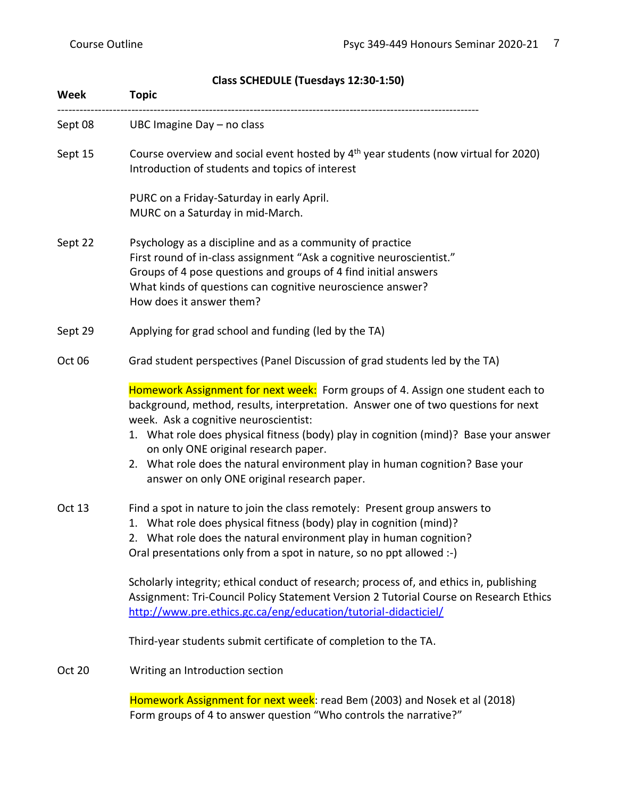| Week          | <b>Topic</b>                                                                                                                                                                                                                                                                                                                                                                                                                                                                 |
|---------------|------------------------------------------------------------------------------------------------------------------------------------------------------------------------------------------------------------------------------------------------------------------------------------------------------------------------------------------------------------------------------------------------------------------------------------------------------------------------------|
| Sept 08       | UBC Imagine Day - no class                                                                                                                                                                                                                                                                                                                                                                                                                                                   |
| Sept 15       | Course overview and social event hosted by 4 <sup>th</sup> year students (now virtual for 2020)<br>Introduction of students and topics of interest                                                                                                                                                                                                                                                                                                                           |
|               | PURC on a Friday-Saturday in early April.<br>MURC on a Saturday in mid-March.                                                                                                                                                                                                                                                                                                                                                                                                |
| Sept 22       | Psychology as a discipline and as a community of practice<br>First round of in-class assignment "Ask a cognitive neuroscientist."<br>Groups of 4 pose questions and groups of 4 find initial answers<br>What kinds of questions can cognitive neuroscience answer?<br>How does it answer them?                                                                                                                                                                               |
| Sept 29       | Applying for grad school and funding (led by the TA)                                                                                                                                                                                                                                                                                                                                                                                                                         |
| Oct 06        | Grad student perspectives (Panel Discussion of grad students led by the TA)                                                                                                                                                                                                                                                                                                                                                                                                  |
|               | Homework Assignment for next week: Form groups of 4. Assign one student each to<br>background, method, results, interpretation. Answer one of two questions for next<br>week. Ask a cognitive neuroscientist:<br>1. What role does physical fitness (body) play in cognition (mind)? Base your answer<br>on only ONE original research paper.<br>2. What role does the natural environment play in human cognition? Base your<br>answer on only ONE original research paper. |
| Oct 13        | Find a spot in nature to join the class remotely: Present group answers to<br>1. What role does physical fitness (body) play in cognition (mind)?<br>2. What role does the natural environment play in human cognition?<br>Oral presentations only from a spot in nature, so no ppt allowed :-)                                                                                                                                                                              |
|               | Scholarly integrity; ethical conduct of research; process of, and ethics in, publishing<br>Assignment: Tri-Council Policy Statement Version 2 Tutorial Course on Research Ethics<br>http://www.pre.ethics.gc.ca/eng/education/tutorial-didacticiel/                                                                                                                                                                                                                          |
|               | Third-year students submit certificate of completion to the TA.                                                                                                                                                                                                                                                                                                                                                                                                              |
| <b>Oct 20</b> | Writing an Introduction section                                                                                                                                                                                                                                                                                                                                                                                                                                              |
|               | Homework Assignment for next week: read Bem (2003) and Nosek et al (2018)<br>Form groups of 4 to answer question "Who controls the narrative?"                                                                                                                                                                                                                                                                                                                               |

# **Class SCHEDULE (Tuesdays 12:30-1:50)**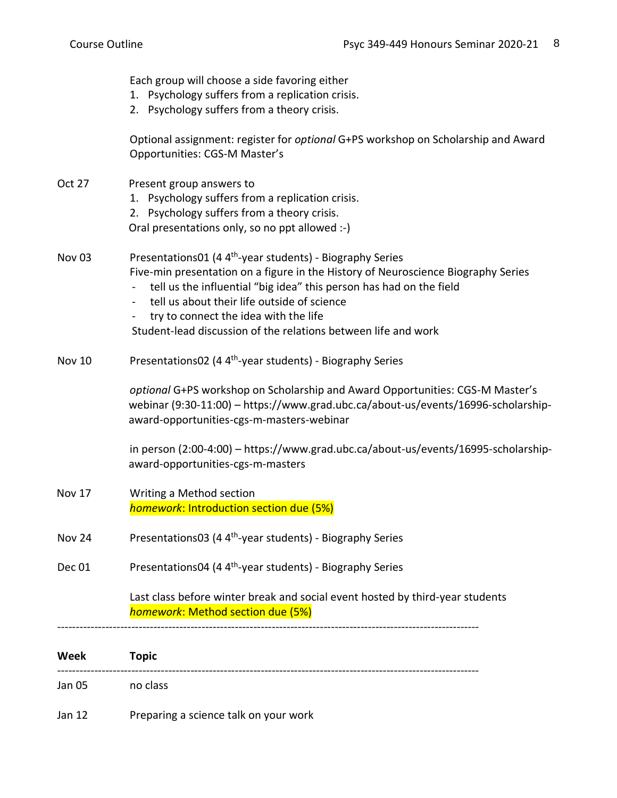| Jan 05<br>Jan 12  | no class<br>Preparing a science talk on your work                                                                                                                                                                                                                                                                  |
|-------------------|--------------------------------------------------------------------------------------------------------------------------------------------------------------------------------------------------------------------------------------------------------------------------------------------------------------------|
| Week              | <b>Topic</b>                                                                                                                                                                                                                                                                                                       |
|                   | Last class before winter break and social event hosted by third-year students<br>homework: Method section due (5%)                                                                                                                                                                                                 |
| Dec 01            | Presentations04 (4 4 <sup>th</sup> -year students) - Biography Series                                                                                                                                                                                                                                              |
| <b>Nov 24</b>     | Presentations03 (4 4 <sup>th</sup> -year students) - Biography Series                                                                                                                                                                                                                                              |
| Nov 17            | Writing a Method section<br>homework: Introduction section due (5%)                                                                                                                                                                                                                                                |
|                   | in person (2:00-4:00) - https://www.grad.ubc.ca/about-us/events/16995-scholarship-<br>award-opportunities-cgs-m-masters                                                                                                                                                                                            |
|                   | optional G+PS workshop on Scholarship and Award Opportunities: CGS-M Master's<br>webinar (9:30-11:00) - https://www.grad.ubc.ca/about-us/events/16996-scholarship-<br>award-opportunities-cgs-m-masters-webinar                                                                                                    |
| <b>Nov 10</b>     | Presentations02 (4 4 <sup>th</sup> -year students) - Biography Series                                                                                                                                                                                                                                              |
|                   | Five-min presentation on a figure in the History of Neuroscience Biography Series<br>tell us the influential "big idea" this person has had on the field<br>tell us about their life outside of science<br>try to connect the idea with the life<br>Student-lead discussion of the relations between life and work |
| Nov <sub>03</sub> | Oral presentations only, so no ppt allowed :-)<br>Presentations01 (4 4 <sup>th</sup> -year students) - Biography Series                                                                                                                                                                                            |
| <b>Oct 27</b>     | Present group answers to<br>1. Psychology suffers from a replication crisis.<br>2. Psychology suffers from a theory crisis.                                                                                                                                                                                        |
|                   | Optional assignment: register for optional G+PS workshop on Scholarship and Award<br>Opportunities: CGS-M Master's                                                                                                                                                                                                 |
|                   | Each group will choose a side favoring either<br>1. Psychology suffers from a replication crisis.<br>2. Psychology suffers from a theory crisis.                                                                                                                                                                   |
|                   |                                                                                                                                                                                                                                                                                                                    |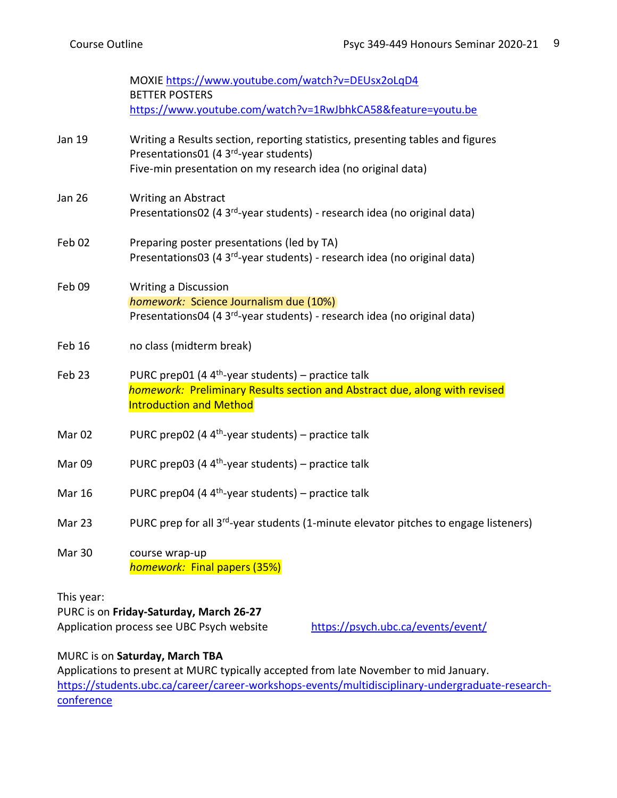|                   | MOXIE https://www.youtube.com/watch?v=DEUsx2oLqD4<br><b>BETTER POSTERS</b>                                                                                                              |
|-------------------|-----------------------------------------------------------------------------------------------------------------------------------------------------------------------------------------|
|                   | https://www.youtube.com/watch?v=1RwJbhkCA58&feature=youtu.be                                                                                                                            |
| Jan 19            | Writing a Results section, reporting statistics, presenting tables and figures<br>Presentations01 (4 3rd-year students)<br>Five-min presentation on my research idea (no original data) |
| <b>Jan 26</b>     | <b>Writing an Abstract</b><br>Presentations02 (4 3 <sup>rd</sup> -year students) - research idea (no original data)                                                                     |
| Feb 02            | Preparing poster presentations (led by TA)<br>Presentations03 (4 3rd-year students) - research idea (no original data)                                                                  |
| Feb 09            | <b>Writing a Discussion</b><br>homework: Science Journalism due (10%)<br>Presentations04 (4 3 <sup>rd</sup> -year students) - research idea (no original data)                          |
| Feb 16            | no class (midterm break)                                                                                                                                                                |
| Feb 23            | PURC prep01 (4 $4th$ -year students) – practice talk<br>homework: Preliminary Results section and Abstract due, along with revised<br><b>Introduction and Method</b>                    |
| Mar <sub>02</sub> | PURC prep02 (4 $4th$ -year students) – practice talk                                                                                                                                    |
| Mar 09            | PURC prep03 (4 $4th$ -year students) – practice talk                                                                                                                                    |
| <b>Mar 16</b>     | PURC prep04 (4 $4th$ -year students) – practice talk                                                                                                                                    |
| Mar 23            | PURC prep for all 3 <sup>rd</sup> -year students (1-minute elevator pitches to engage listeners)                                                                                        |
| <b>Mar 30</b>     | course wrap-up<br>homework: Final papers (35%)                                                                                                                                          |
| This year:        |                                                                                                                                                                                         |

PURC is on **Friday-Saturday, March 26-27** Application process see UBC Psych website <https://psych.ubc.ca/events/event/>

# MURC is on **Saturday, March TBA**

Applications to present at MURC typically accepted from late November to mid January. [https://students.ubc.ca/career/career-workshops-events/multidisciplinary-undergraduate-research](https://students.ubc.ca/career/career-workshops-events/multidisciplinary-undergraduate-research-conference)[conference](https://students.ubc.ca/career/career-workshops-events/multidisciplinary-undergraduate-research-conference)